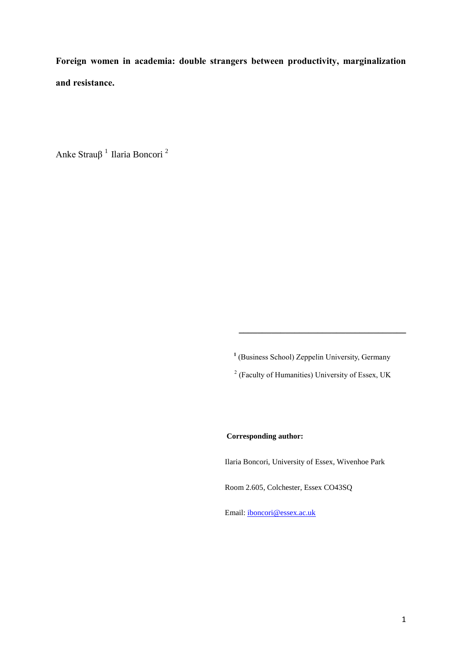**Foreign women in academia: double strangers between productivity, marginalization and resistance.** 

Anke Strauβ<sup>1</sup> Ilaria Boncori<sup>2</sup>

**1** (Business School) Zeppelin University, Germany

**\_\_\_\_\_\_\_\_\_\_\_\_\_\_\_\_\_\_\_\_\_\_\_\_\_\_\_\_\_\_\_\_\_\_\_\_**

<sup>2</sup> (Faculty of Humanities) University of Essex, UK

**Corresponding author:**

Ilaria Boncori, University of Essex, Wivenhoe Park

Room 2.605, Colchester, Essex CO43SQ

Email[: iboncori@essex.ac.uk](mailto:iboncori@essex.ac.uk)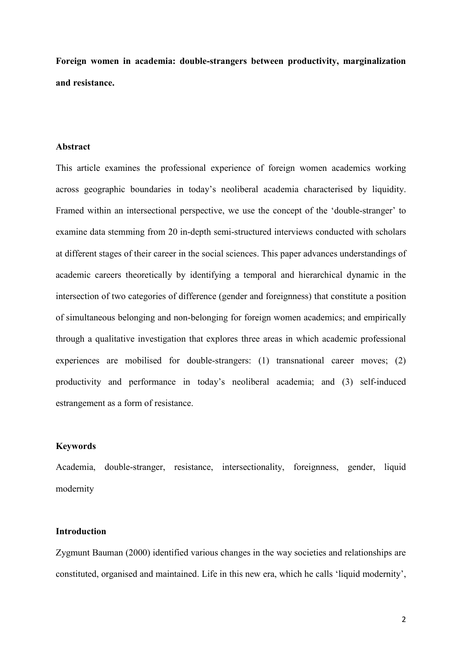**Foreign women in academia: double-strangers between productivity, marginalization and resistance.**

### **Abstract**

This article examines the professional experience of foreign women academics working across geographic boundaries in today's neoliberal academia characterised by liquidity. Framed within an intersectional perspective, we use the concept of the 'double-stranger' to examine data stemming from 20 in-depth semi-structured interviews conducted with scholars at different stages of their career in the social sciences. This paper advances understandings of academic careers theoretically by identifying a temporal and hierarchical dynamic in the intersection of two categories of difference (gender and foreignness) that constitute a position of simultaneous belonging and non-belonging for foreign women academics; and empirically through a qualitative investigation that explores three areas in which academic professional experiences are mobilised for double-strangers: (1) transnational career moves; (2) productivity and performance in today's neoliberal academia; and (3) self-induced estrangement as a form of resistance.

## **Keywords**

Academia, double-stranger, resistance, intersectionality, foreignness, gender, liquid modernity

### **Introduction**

Zygmunt Bauman (2000) identified various changes in the way societies and relationships are constituted, organised and maintained. Life in this new era, which he calls 'liquid modernity',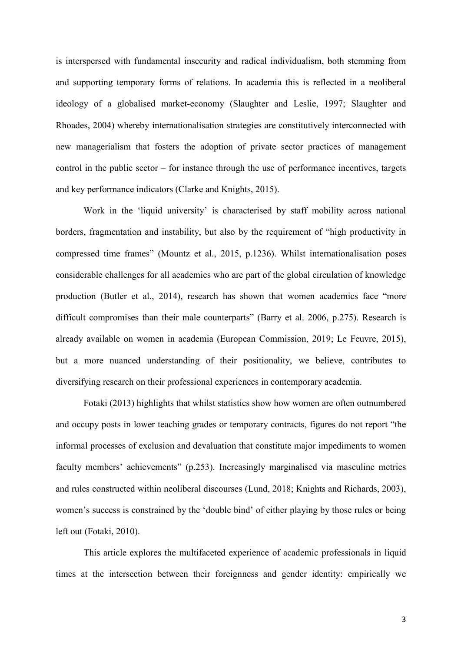is interspersed with fundamental insecurity and radical individualism, both stemming from and supporting temporary forms of relations. In academia this is reflected in a neoliberal ideology of a globalised market-economy (Slaughter and Leslie, 1997; Slaughter and Rhoades, 2004) whereby internationalisation strategies are constitutively interconnected with new managerialism that fosters the adoption of private sector practices of management control in the public sector – for instance through the use of performance incentives, targets and key performance indicators (Clarke and Knights, 2015).

Work in the 'liquid university' is characterised by staff mobility across national borders, fragmentation and instability, but also by the requirement of "high productivity in compressed time frames" (Mountz et al., 2015, p.1236). Whilst internationalisation poses considerable challenges for all academics who are part of the global circulation of knowledge production (Butler et al., 2014), research has shown that women academics face "more difficult compromises than their male counterparts" (Barry et al. 2006, p.275). Research is already available on women in academia (European Commission, 2019; Le Feuvre, 2015), but a more nuanced understanding of their positionality, we believe, contributes to diversifying research on their professional experiences in contemporary academia.

Fotaki (2013) highlights that whilst statistics show how women are often outnumbered and occupy posts in lower teaching grades or temporary contracts, figures do not report "the informal processes of exclusion and devaluation that constitute major impediments to women faculty members' achievements" (p.253). Increasingly marginalised via masculine metrics and rules constructed within neoliberal discourses (Lund, 2018; Knights and Richards, 2003), women's success is constrained by the 'double bind' of either playing by those rules or being left out (Fotaki, 2010).

This article explores the multifaceted experience of academic professionals in liquid times at the intersection between their foreignness and gender identity: empirically we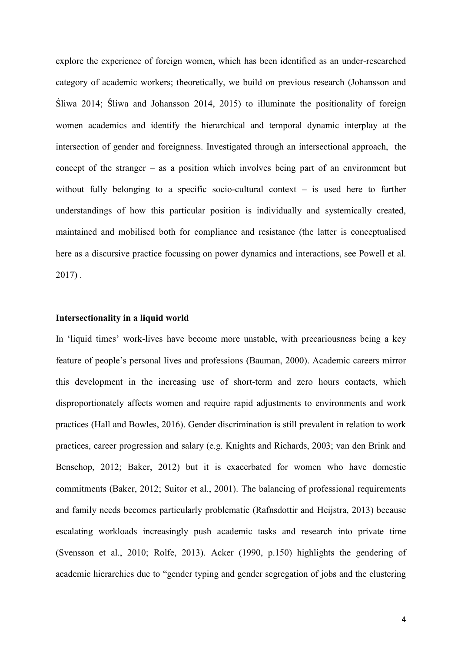explore the experience of foreign women, which has been identified as an under-researched category of academic workers; theoretically, we build on previous research (Johansson and Śliwa 2014; Śliwa and Johansson 2014, 2015) to illuminate the positionality of foreign women academics and identify the hierarchical and temporal dynamic interplay at the intersection of gender and foreignness. Investigated through an intersectional approach, the concept of the stranger – as a position which involves being part of an environment but without fully belonging to a specific socio-cultural context – is used here to further understandings of how this particular position is individually and systemically created, maintained and mobilised both for compliance and resistance (the latter is conceptualised here as a discursive practice focussing on power dynamics and interactions, see Powell et al. 2017) .

## **Intersectionality in a liquid world**

In 'liquid times' work-lives have become more unstable, with precariousness being a key feature of people's personal lives and professions (Bauman, 2000). Academic careers mirror this development in the increasing use of short-term and zero hours contacts, which disproportionately affects women and require rapid adjustments to environments and work practices (Hall and Bowles, 2016). Gender discrimination is still prevalent in relation to work practices, career progression and salary (e.g. Knights and Richards, 2003; van den Brink and Benschop, 2012; Baker, 2012) but it is exacerbated for women who have domestic commitments (Baker, 2012; Suitor et al., 2001). The balancing of professional requirements and family needs becomes particularly problematic (Rafnsdottir and Heijstra, 2013) because escalating workloads increasingly push academic tasks and research into private time (Svensson et al., 2010; Rolfe, 2013). Acker (1990, p.150) highlights the gendering of academic hierarchies due to "gender typing and gender segregation of jobs and the clustering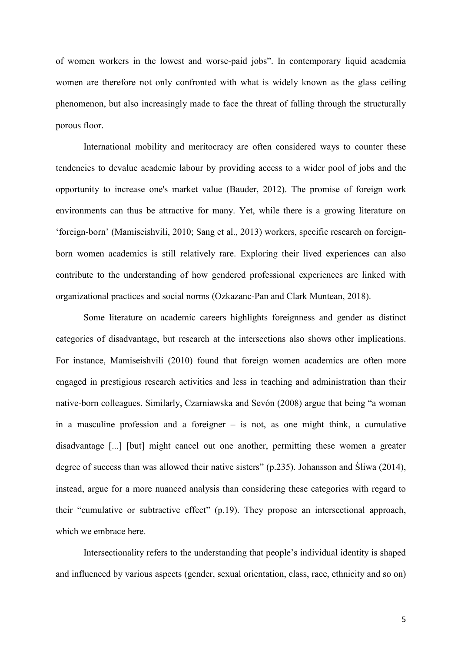of women workers in the lowest and worse-paid jobs". In contemporary liquid academia women are therefore not only confronted with what is widely known as the glass ceiling phenomenon, but also increasingly made to face the threat of falling through the structurally porous floor.

International mobility and meritocracy are often considered ways to counter these tendencies to devalue academic labour by providing access to a wider pool of jobs and the opportunity to increase one's market value (Bauder, 2012). The promise of foreign work environments can thus be attractive for many. Yet, while there is a growing literature on 'foreign-born' (Mamiseishvili, 2010; Sang et al., 2013) workers, specific research on foreignborn women academics is still relatively rare. Exploring their lived experiences can also contribute to the understanding of how gendered professional experiences are linked with organizational practices and social norms (Ozkazanc-Pan and Clark Muntean, 2018).

Some literature on academic careers highlights foreignness and gender as distinct categories of disadvantage, but research at the intersections also shows other implications. For instance, Mamiseishvili (2010) found that foreign women academics are often more engaged in prestigious research activities and less in teaching and administration than their native-born colleagues. Similarly, Czarniawska and Sevón (2008) argue that being "a woman in a masculine profession and a foreigner – is not, as one might think, a cumulative disadvantage [...] [but] might cancel out one another, permitting these women a greater degree of success than was allowed their native sisters" (p.235). Johansson and Śliwa (2014), instead, argue for a more nuanced analysis than considering these categories with regard to their "cumulative or subtractive effect" (p.19). They propose an intersectional approach, which we embrace here.

Intersectionality refers to the understanding that people's individual identity is shaped and influenced by various aspects (gender, sexual orientation, class, race, ethnicity and so on)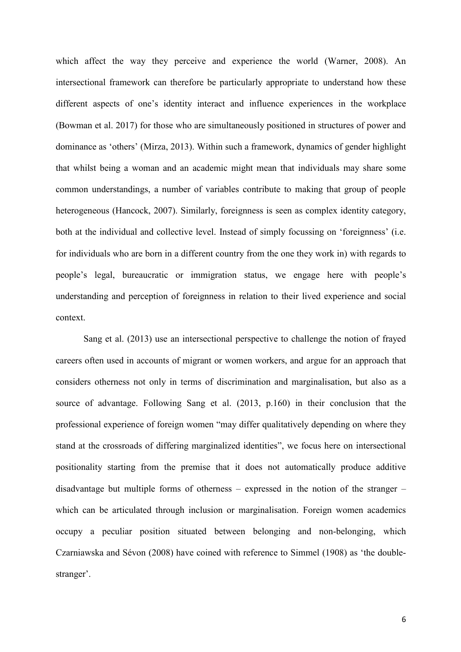which affect the way they perceive and experience the world (Warner, 2008). An intersectional framework can therefore be particularly appropriate to understand how these different aspects of one's identity interact and influence experiences in the workplace (Bowman et al. 2017) for those who are simultaneously positioned in structures of power and dominance as 'others' (Mirza, 2013). Within such a framework, dynamics of gender highlight that whilst being a woman and an academic might mean that individuals may share some common understandings, a number of variables contribute to making that group of people heterogeneous (Hancock, 2007). Similarly, foreignness is seen as complex identity category, both at the individual and collective level. Instead of simply focussing on 'foreignness' (i.e. for individuals who are born in a different country from the one they work in) with regards to people's legal, bureaucratic or immigration status, we engage here with people's understanding and perception of foreignness in relation to their lived experience and social context.

Sang et al. (2013) use an intersectional perspective to challenge the notion of frayed careers often used in accounts of migrant or women workers, and argue for an approach that considers otherness not only in terms of discrimination and marginalisation, but also as a source of advantage. Following Sang et al. (2013, p.160) in their conclusion that the professional experience of foreign women "may differ qualitatively depending on where they stand at the crossroads of differing marginalized identities", we focus here on intersectional positionality starting from the premise that it does not automatically produce additive disadvantage but multiple forms of otherness – expressed in the notion of the stranger – which can be articulated through inclusion or marginalisation. Foreign women academics occupy a peculiar position situated between belonging and non-belonging, which Czarniawska and Sévon (2008) have coined with reference to Simmel (1908) as 'the doublestranger'.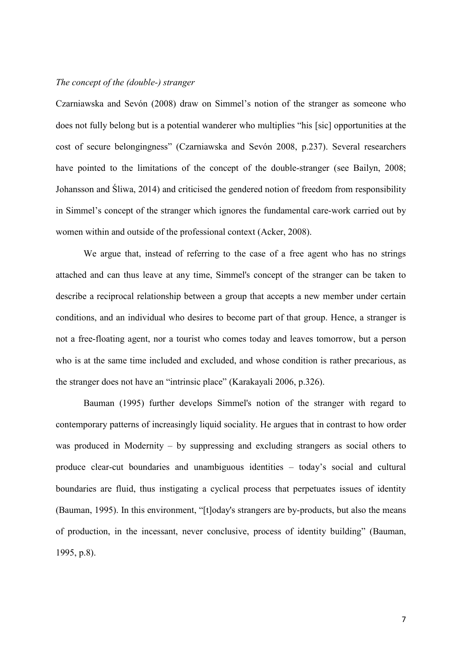### *The concept of the (double-) stranger*

Czarniawska and Sevón (2008) draw on Simmel's notion of the stranger as someone who does not fully belong but is a potential wanderer who multiplies "his [sic] opportunities at the cost of secure belongingness" (Czarniawska and Sevón 2008, p.237). Several researchers have pointed to the limitations of the concept of the double-stranger (see Bailyn, 2008; Johansson and Śliwa, 2014) and criticised the gendered notion of freedom from responsibility in Simmel's concept of the stranger which ignores the fundamental care-work carried out by women within and outside of the professional context (Acker, 2008).

We argue that, instead of referring to the case of a free agent who has no strings attached and can thus leave at any time, Simmel's concept of the stranger can be taken to describe a reciprocal relationship between a group that accepts a new member under certain conditions, and an individual who desires to become part of that group. Hence, a stranger is not a free-floating agent, nor a tourist who comes today and leaves tomorrow, but a person who is at the same time included and excluded, and whose condition is rather precarious, as the stranger does not have an "intrinsic place" (Karakayali 2006, p.326).

Bauman (1995) further develops Simmel's notion of the stranger with regard to contemporary patterns of increasingly liquid sociality. He argues that in contrast to how order was produced in Modernity – by suppressing and excluding strangers as social others to produce clear-cut boundaries and unambiguous identities – today's social and cultural boundaries are fluid, thus instigating a cyclical process that perpetuates issues of identity (Bauman, 1995). In this environment, "[t]oday's strangers are by-products, but also the means of production, in the incessant, never conclusive, process of identity building" (Bauman, 1995, p.8).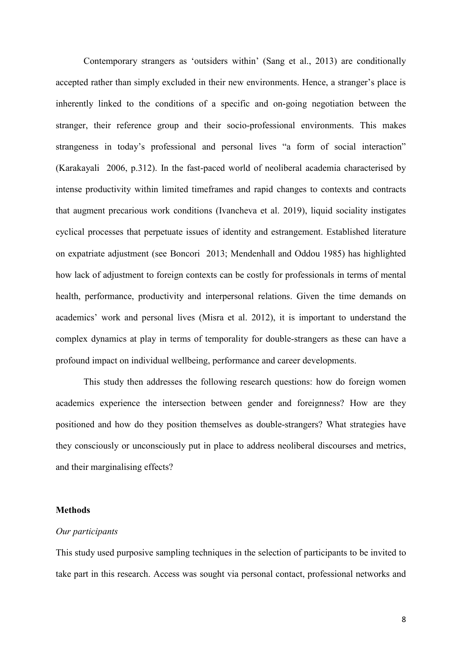Contemporary strangers as 'outsiders within' (Sang et al., 2013) are conditionally accepted rather than simply excluded in their new environments. Hence, a stranger's place is inherently linked to the conditions of a specific and on-going negotiation between the stranger, their reference group and their socio-professional environments. This makes strangeness in today's professional and personal lives "a form of social interaction" (Karakayali 2006, p.312). In the fast-paced world of neoliberal academia characterised by intense productivity within limited timeframes and rapid changes to contexts and contracts that augment precarious work conditions (Ivancheva et al. 2019), liquid sociality instigates cyclical processes that perpetuate issues of identity and estrangement. Established literature on expatriate adjustment (see Boncori 2013; Mendenhall and Oddou 1985) has highlighted how lack of adjustment to foreign contexts can be costly for professionals in terms of mental health, performance, productivity and interpersonal relations. Given the time demands on academics' work and personal lives (Misra et al. 2012), it is important to understand the complex dynamics at play in terms of temporality for double-strangers as these can have a profound impact on individual wellbeing, performance and career developments.

This study then addresses the following research questions: how do foreign women academics experience the intersection between gender and foreignness? How are they positioned and how do they position themselves as double-strangers? What strategies have they consciously or unconsciously put in place to address neoliberal discourses and metrics, and their marginalising effects?

#### **Methods**

### *Our participants*

This study used purposive sampling techniques in the selection of participants to be invited to take part in this research. Access was sought via personal contact, professional networks and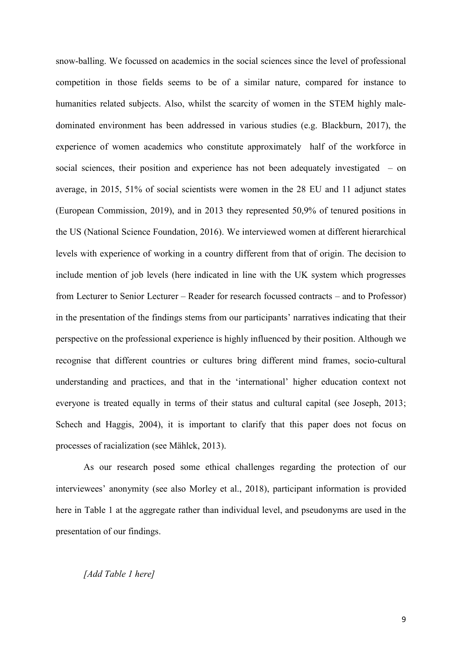snow-balling. We focussed on academics in the social sciences since the level of professional competition in those fields seems to be of a similar nature, compared for instance to humanities related subjects. Also, whilst the scarcity of women in the STEM highly maledominated environment has been addressed in various studies (e.g. Blackburn, 2017), the experience of women academics who constitute approximately half of the workforce in social sciences, their position and experience has not been adequately investigated – on average, in 2015, 51% of social scientists were women in the 28 EU and 11 adjunct states (European Commission, 2019), and in 2013 they represented 50,9% of tenured positions in the US (National Science Foundation, 2016). We interviewed women at different hierarchical levels with experience of working in a country different from that of origin. The decision to include mention of job levels (here indicated in line with the UK system which progresses from Lecturer to Senior Lecturer – Reader for research focussed contracts – and to Professor) in the presentation of the findings stems from our participants' narratives indicating that their perspective on the professional experience is highly influenced by their position. Although we recognise that different countries or cultures bring different mind frames, socio-cultural understanding and practices, and that in the 'international' higher education context not everyone is treated equally in terms of their status and cultural capital (see Joseph, 2013; Schech and Haggis, 2004), it is important to clarify that this paper does not focus on processes of racialization (see Mählck, 2013).

As our research posed some ethical challenges regarding the protection of our interviewees' anonymity (see also Morley et al., 2018), participant information is provided here in Table 1 at the aggregate rather than individual level, and pseudonyms are used in the presentation of our findings.

#### *[Add Table 1 here]*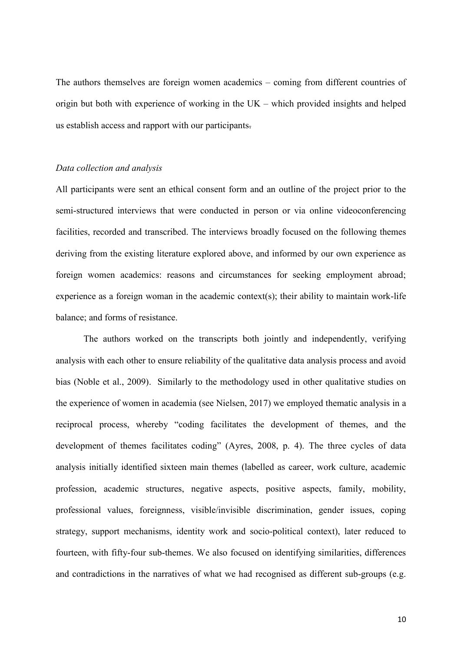The authors themselves are foreign women academics – coming from different countries of origin but both with experience of working in the UK – which provided insights and helped us establish access and rapport with our participants.

### *Data collection and analysis*

All participants were sent an ethical consent form and an outline of the project prior to the semi-structured interviews that were conducted in person or via online videoconferencing facilities, recorded and transcribed. The interviews broadly focused on the following themes deriving from the existing literature explored above, and informed by our own experience as foreign women academics: reasons and circumstances for seeking employment abroad; experience as a foreign woman in the academic context(s); their ability to maintain work-life balance; and forms of resistance.

The authors worked on the transcripts both jointly and independently, verifying analysis with each other to ensure reliability of the qualitative data analysis process and avoid bias (Noble et al., 2009). Similarly to the methodology used in other qualitative studies on the experience of women in academia (see Nielsen, 2017) we employed thematic analysis in a reciprocal process, whereby "coding facilitates the development of themes, and the development of themes facilitates coding" (Ayres, 2008, p. 4). The three cycles of data analysis initially identified sixteen main themes (labelled as career, work culture, academic profession, academic structures, negative aspects, positive aspects, family, mobility, professional values, foreignness, visible/invisible discrimination, gender issues, coping strategy, support mechanisms, identity work and socio-political context), later reduced to fourteen, with fifty-four sub-themes. We also focused on identifying similarities, differences and contradictions in the narratives of what we had recognised as different sub-groups (e.g.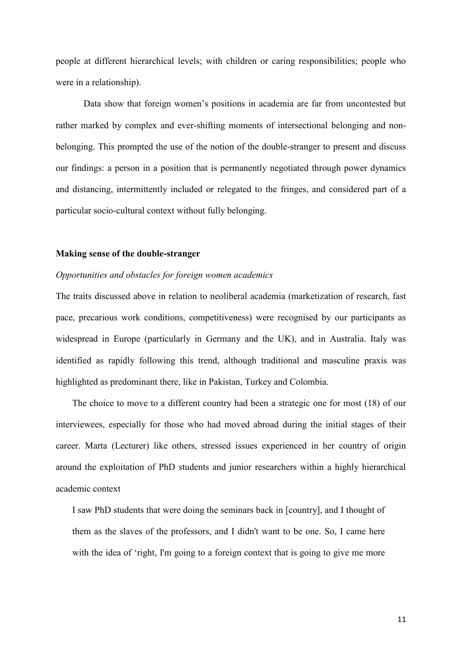people at different hierarchical levels; with children or caring responsibilities; people who were in a relationship).

Data show that foreign women's positions in academia are far from uncontested but rather marked by complex and ever-shifting moments of intersectional belonging and nonbelonging. This prompted the use of the notion of the double-stranger to present and discuss our findings: a person in a position that is permanently negotiated through power dynamics and distancing, intermittently included or relegated to the fringes, and considered part of a particular socio-cultural context without fully belonging.

#### **Making sense of the double-stranger**

## *Opportunities and obstacles for foreign women academics*

The traits discussed above in relation to neoliberal academia (marketization of research, fast pace, precarious work conditions, competitiveness) were recognised by our participants as widespread in Europe (particularly in Germany and the UK), and in Australia. Italy was identified as rapidly following this trend, although traditional and masculine praxis was highlighted as predominant there, like in Pakistan, Turkey and Colombia.

The choice to move to a different country had been a strategic one for most (18) of our interviewees, especially for those who had moved abroad during the initial stages of their career. Marta (Lecturer) like others, stressed issues experienced in her country of origin around the exploitation of PhD students and junior researchers within a highly hierarchical academic context

I saw PhD students that were doing the seminars back in [country], and I thought of them as the slaves of the professors, and I didn't want to be one. So, I came here with the idea of 'right, I'm going to a foreign context that is going to give me more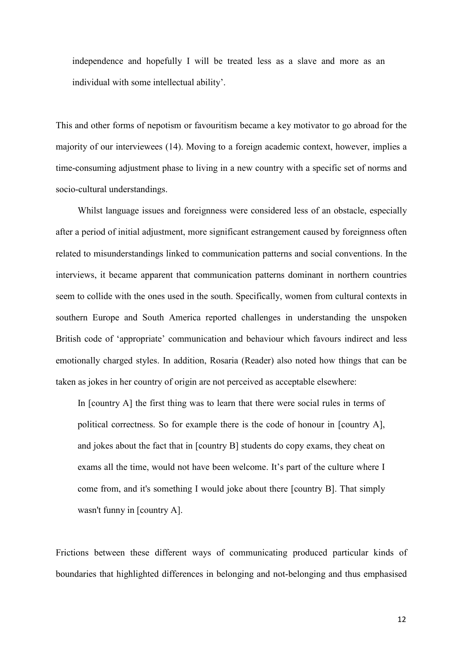independence and hopefully I will be treated less as a slave and more as an individual with some intellectual ability'.

This and other forms of nepotism or favouritism became a key motivator to go abroad for the majority of our interviewees (14). Moving to a foreign academic context, however, implies a time-consuming adjustment phase to living in a new country with a specific set of norms and socio-cultural understandings.

Whilst language issues and foreignness were considered less of an obstacle, especially after a period of initial adjustment, more significant estrangement caused by foreignness often related to misunderstandings linked to communication patterns and social conventions. In the interviews, it became apparent that communication patterns dominant in northern countries seem to collide with the ones used in the south. Specifically, women from cultural contexts in southern Europe and South America reported challenges in understanding the unspoken British code of 'appropriate' communication and behaviour which favours indirect and less emotionally charged styles. In addition, Rosaria (Reader) also noted how things that can be taken as jokes in her country of origin are not perceived as acceptable elsewhere:

In [country A] the first thing was to learn that there were social rules in terms of political correctness. So for example there is the code of honour in [country A], and jokes about the fact that in [country B] students do copy exams, they cheat on exams all the time, would not have been welcome. It's part of the culture where I come from, and it's something I would joke about there [country B]. That simply wasn't funny in [country A].

Frictions between these different ways of communicating produced particular kinds of boundaries that highlighted differences in belonging and not-belonging and thus emphasised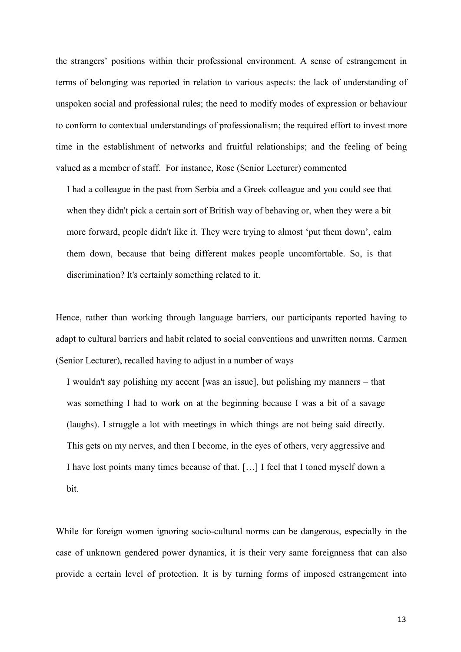the strangers' positions within their professional environment. A sense of estrangement in terms of belonging was reported in relation to various aspects: the lack of understanding of unspoken social and professional rules; the need to modify modes of expression or behaviour to conform to contextual understandings of professionalism; the required effort to invest more time in the establishment of networks and fruitful relationships; and the feeling of being valued as a member of staff. For instance, Rose (Senior Lecturer) commented

I had a colleague in the past from Serbia and a Greek colleague and you could see that when they didn't pick a certain sort of British way of behaving or, when they were a bit more forward, people didn't like it. They were trying to almost 'put them down', calm them down, because that being different makes people uncomfortable. So, is that discrimination? It's certainly something related to it.

Hence, rather than working through language barriers, our participants reported having to adapt to cultural barriers and habit related to social conventions and unwritten norms. Carmen (Senior Lecturer), recalled having to adjust in a number of ways

I wouldn't say polishing my accent [was an issue], but polishing my manners – that was something I had to work on at the beginning because I was a bit of a savage (laughs). I struggle a lot with meetings in which things are not being said directly. This gets on my nerves, and then I become, in the eyes of others, very aggressive and I have lost points many times because of that. […] I feel that I toned myself down a bit.

While for foreign women ignoring socio-cultural norms can be dangerous, especially in the case of unknown gendered power dynamics, it is their very same foreignness that can also provide a certain level of protection. It is by turning forms of imposed estrangement into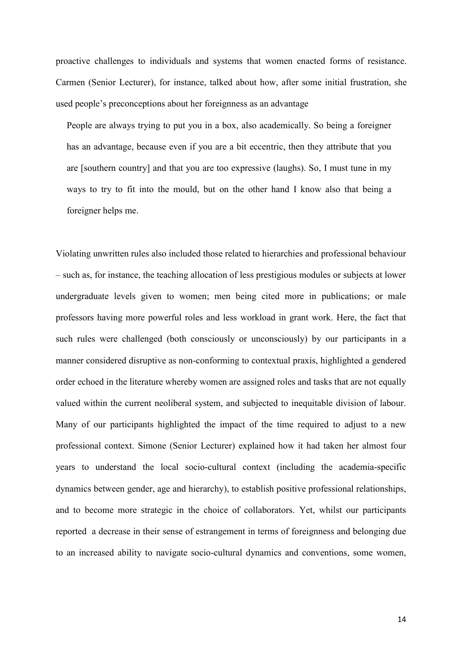proactive challenges to individuals and systems that women enacted forms of resistance. Carmen (Senior Lecturer), for instance, talked about how, after some initial frustration, she used people's preconceptions about her foreignness as an advantage

People are always trying to put you in a box, also academically. So being a foreigner has an advantage, because even if you are a bit eccentric, then they attribute that you are [southern country] and that you are too expressive (laughs). So, I must tune in my ways to try to fit into the mould, but on the other hand I know also that being a foreigner helps me.

Violating unwritten rules also included those related to hierarchies and professional behaviour – such as, for instance, the teaching allocation of less prestigious modules or subjects at lower undergraduate levels given to women; men being cited more in publications; or male professors having more powerful roles and less workload in grant work. Here, the fact that such rules were challenged (both consciously or unconsciously) by our participants in a manner considered disruptive as non-conforming to contextual praxis, highlighted a gendered order echoed in the literature whereby women are assigned roles and tasks that are not equally valued within the current neoliberal system, and subjected to inequitable division of labour. Many of our participants highlighted the impact of the time required to adjust to a new professional context. Simone (Senior Lecturer) explained how it had taken her almost four years to understand the local socio-cultural context (including the academia-specific dynamics between gender, age and hierarchy), to establish positive professional relationships, and to become more strategic in the choice of collaborators. Yet, whilst our participants reported a decrease in their sense of estrangement in terms of foreignness and belonging due to an increased ability to navigate socio-cultural dynamics and conventions, some women,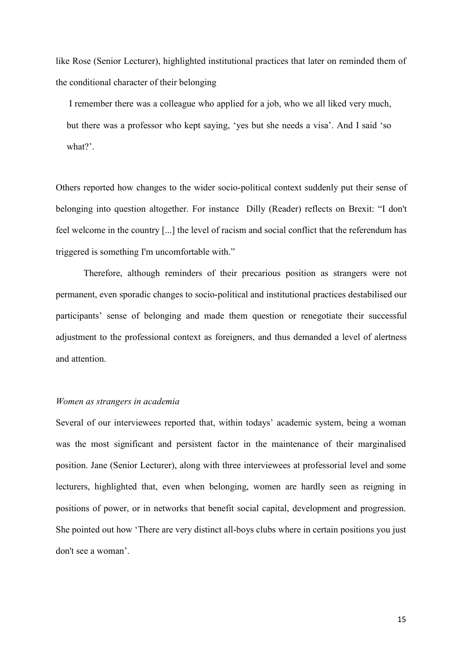like Rose (Senior Lecturer), highlighted institutional practices that later on reminded them of the conditional character of their belonging

I remember there was a colleague who applied for a job, who we all liked very much, but there was a professor who kept saying, 'yes but she needs a visa'. And I said 'so what?'.

Others reported how changes to the wider socio-political context suddenly put their sense of belonging into question altogether. For instance Dilly (Reader) reflects on Brexit: "I don't feel welcome in the country [...] the level of racism and social conflict that the referendum has triggered is something I'm uncomfortable with."

Therefore, although reminders of their precarious position as strangers were not permanent, even sporadic changes to socio-political and institutional practices destabilised our participants' sense of belonging and made them question or renegotiate their successful adjustment to the professional context as foreigners, and thus demanded a level of alertness and attention.

#### *Women as strangers in academia*

Several of our interviewees reported that, within todays' academic system, being a woman was the most significant and persistent factor in the maintenance of their marginalised position. Jane (Senior Lecturer), along with three interviewees at professorial level and some lecturers, highlighted that, even when belonging, women are hardly seen as reigning in positions of power, or in networks that benefit social capital, development and progression. She pointed out how 'There are very distinct all-boys clubs where in certain positions you just don't see a woman'.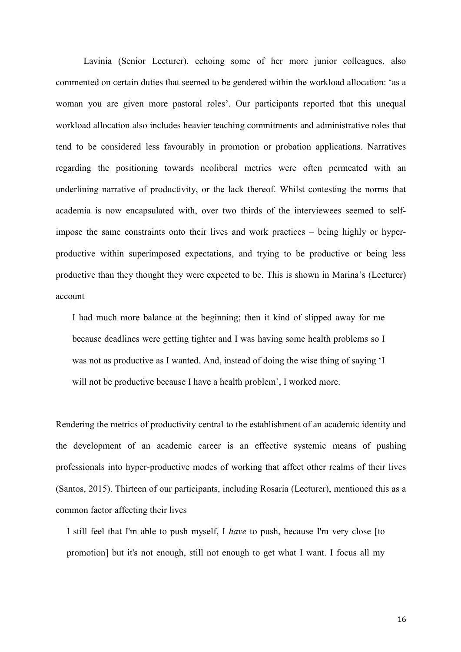Lavinia (Senior Lecturer), echoing some of her more junior colleagues, also commented on certain duties that seemed to be gendered within the workload allocation: 'as a woman you are given more pastoral roles'. Our participants reported that this unequal workload allocation also includes heavier teaching commitments and administrative roles that tend to be considered less favourably in promotion or probation applications. Narratives regarding the positioning towards neoliberal metrics were often permeated with an underlining narrative of productivity, or the lack thereof. Whilst contesting the norms that academia is now encapsulated with, over two thirds of the interviewees seemed to selfimpose the same constraints onto their lives and work practices – being highly or hyperproductive within superimposed expectations, and trying to be productive or being less productive than they thought they were expected to be. This is shown in Marina's (Lecturer) account

I had much more balance at the beginning; then it kind of slipped away for me because deadlines were getting tighter and I was having some health problems so I was not as productive as I wanted. And, instead of doing the wise thing of saying 'I will not be productive because I have a health problem', I worked more.

Rendering the metrics of productivity central to the establishment of an academic identity and the development of an academic career is an effective systemic means of pushing professionals into hyper-productive modes of working that affect other realms of their lives (Santos, 2015). Thirteen of our participants, including Rosaria (Lecturer), mentioned this as a common factor affecting their lives

I still feel that I'm able to push myself, I *have* to push, because I'm very close [to promotion] but it's not enough, still not enough to get what I want. I focus all my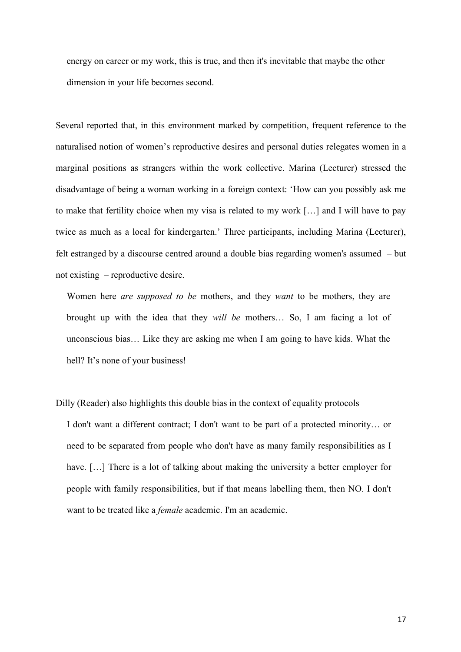energy on career or my work, this is true, and then it's inevitable that maybe the other dimension in your life becomes second.

Several reported that, in this environment marked by competition, frequent reference to the naturalised notion of women's reproductive desires and personal duties relegates women in a marginal positions as strangers within the work collective. Marina (Lecturer) stressed the disadvantage of being a woman working in a foreign context: 'How can you possibly ask me to make that fertility choice when my visa is related to my work […] and I will have to pay twice as much as a local for kindergarten.' Three participants, including Marina (Lecturer), felt estranged by a discourse centred around a double bias regarding women's assumed – but not existing – reproductive desire.

Women here *are supposed to be* mothers, and they *want* to be mothers, they are brought up with the idea that they *will be* mothers… So, I am facing a lot of unconscious bias… Like they are asking me when I am going to have kids. What the hell? It's none of your business!

Dilly (Reader) also highlights this double bias in the context of equality protocols I don't want a different contract; I don't want to be part of a protected minority… or need to be separated from people who don't have as many family responsibilities as I have. [...] There is a lot of talking about making the university a better employer for people with family responsibilities, but if that means labelling them, then NO. I don't want to be treated like a *female* academic. I'm an academic.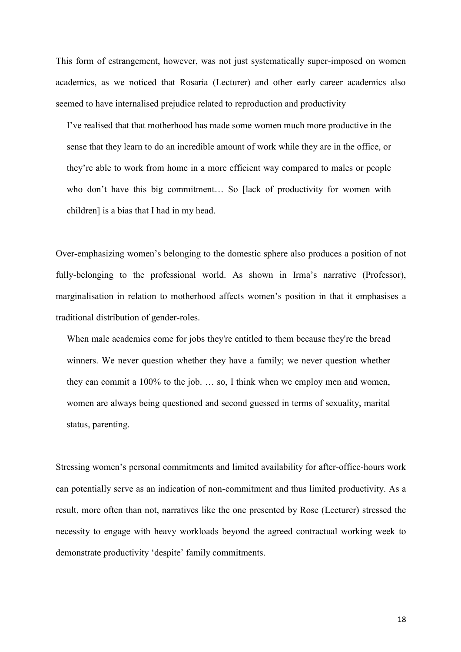This form of estrangement, however, was not just systematically super-imposed on women academics, as we noticed that Rosaria (Lecturer) and other early career academics also seemed to have internalised prejudice related to reproduction and productivity

I've realised that that motherhood has made some women much more productive in the sense that they learn to do an incredible amount of work while they are in the office, or they're able to work from home in a more efficient way compared to males or people who don't have this big commitment... So [lack of productivity for women with children] is a bias that I had in my head.

Over-emphasizing women's belonging to the domestic sphere also produces a position of not fully-belonging to the professional world. As shown in Irma's narrative (Professor), marginalisation in relation to motherhood affects women's position in that it emphasises a traditional distribution of gender-roles.

When male academics come for jobs they're entitled to them because they're the bread winners. We never question whether they have a family; we never question whether they can commit a 100% to the job. … so, I think when we employ men and women, women are always being questioned and second guessed in terms of sexuality, marital status, parenting.

Stressing women's personal commitments and limited availability for after-office-hours work can potentially serve as an indication of non-commitment and thus limited productivity. As a result, more often than not, narratives like the one presented by Rose (Lecturer) stressed the necessity to engage with heavy workloads beyond the agreed contractual working week to demonstrate productivity 'despite' family commitments.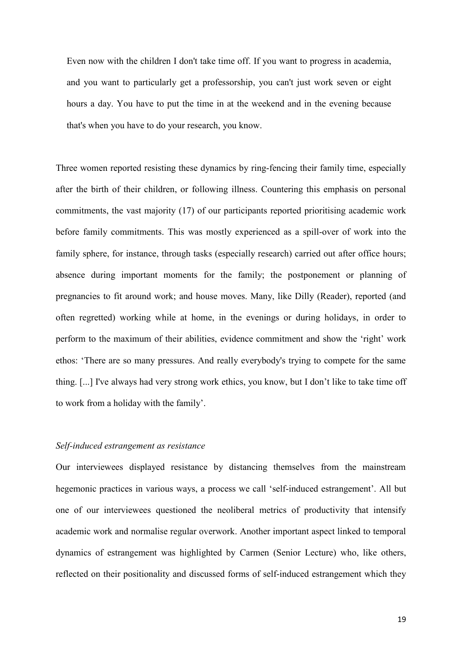Even now with the children I don't take time off. If you want to progress in academia, and you want to particularly get a professorship, you can't just work seven or eight hours a day. You have to put the time in at the weekend and in the evening because that's when you have to do your research, you know.

Three women reported resisting these dynamics by ring-fencing their family time, especially after the birth of their children, or following illness. Countering this emphasis on personal commitments, the vast majority (17) of our participants reported prioritising academic work before family commitments. This was mostly experienced as a spill-over of work into the family sphere, for instance, through tasks (especially research) carried out after office hours; absence during important moments for the family; the postponement or planning of pregnancies to fit around work; and house moves. Many, like Dilly (Reader), reported (and often regretted) working while at home, in the evenings or during holidays, in order to perform to the maximum of their abilities, evidence commitment and show the 'right' work ethos: 'There are so many pressures. And really everybody's trying to compete for the same thing. [...] I've always had very strong work ethics, you know, but I don't like to take time off to work from a holiday with the family'.

## *Self-induced estrangement as resistance*

Our interviewees displayed resistance by distancing themselves from the mainstream hegemonic practices in various ways, a process we call 'self-induced estrangement'. All but one of our interviewees questioned the neoliberal metrics of productivity that intensify academic work and normalise regular overwork. Another important aspect linked to temporal dynamics of estrangement was highlighted by Carmen (Senior Lecture) who, like others, reflected on their positionality and discussed forms of self-induced estrangement which they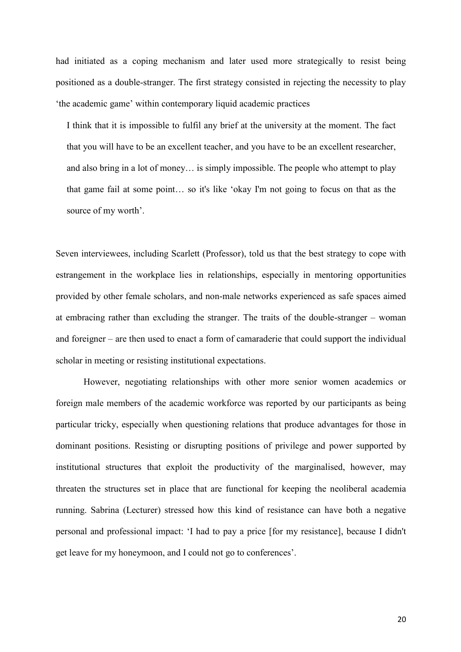had initiated as a coping mechanism and later used more strategically to resist being positioned as a double-stranger. The first strategy consisted in rejecting the necessity to play 'the academic game' within contemporary liquid academic practices

I think that it is impossible to fulfil any brief at the university at the moment. The fact that you will have to be an excellent teacher, and you have to be an excellent researcher, and also bring in a lot of money… is simply impossible. The people who attempt to play that game fail at some point… so it's like 'okay I'm not going to focus on that as the source of my worth'.

Seven interviewees, including Scarlett (Professor), told us that the best strategy to cope with estrangement in the workplace lies in relationships, especially in mentoring opportunities provided by other female scholars, and non-male networks experienced as safe spaces aimed at embracing rather than excluding the stranger. The traits of the double-stranger – woman and foreigner – are then used to enact a form of camaraderie that could support the individual scholar in meeting or resisting institutional expectations.

However, negotiating relationships with other more senior women academics or foreign male members of the academic workforce was reported by our participants as being particular tricky, especially when questioning relations that produce advantages for those in dominant positions. Resisting or disrupting positions of privilege and power supported by institutional structures that exploit the productivity of the marginalised, however, may threaten the structures set in place that are functional for keeping the neoliberal academia running. Sabrina (Lecturer) stressed how this kind of resistance can have both a negative personal and professional impact: 'I had to pay a price [for my resistance], because I didn't get leave for my honeymoon, and I could not go to conferences'.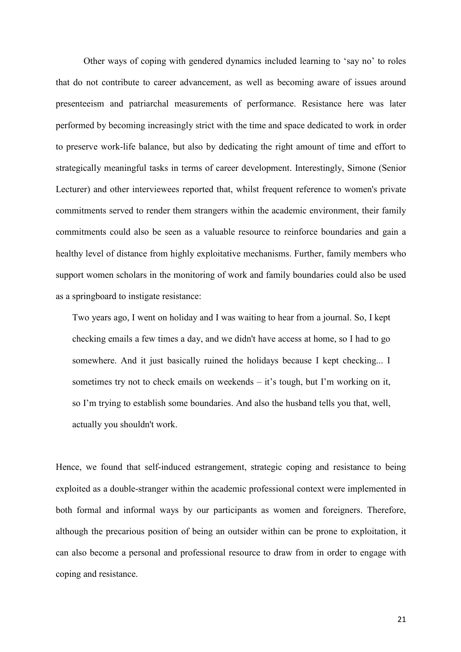Other ways of coping with gendered dynamics included learning to 'say no' to roles that do not contribute to career advancement, as well as becoming aware of issues around presenteeism and patriarchal measurements of performance. Resistance here was later performed by becoming increasingly strict with the time and space dedicated to work in order to preserve work-life balance, but also by dedicating the right amount of time and effort to strategically meaningful tasks in terms of career development. Interestingly, Simone (Senior Lecturer) and other interviewees reported that, whilst frequent reference to women's private commitments served to render them strangers within the academic environment, their family commitments could also be seen as a valuable resource to reinforce boundaries and gain a healthy level of distance from highly exploitative mechanisms. Further, family members who support women scholars in the monitoring of work and family boundaries could also be used as a springboard to instigate resistance:

Two years ago, I went on holiday and I was waiting to hear from a journal. So, I kept checking emails a few times a day, and we didn't have access at home, so I had to go somewhere. And it just basically ruined the holidays because I kept checking... I sometimes try not to check emails on weekends – it's tough, but I'm working on it, so I'm trying to establish some boundaries. And also the husband tells you that, well, actually you shouldn't work.

Hence, we found that self-induced estrangement, strategic coping and resistance to being exploited as a double-stranger within the academic professional context were implemented in both formal and informal ways by our participants as women and foreigners. Therefore, although the precarious position of being an outsider within can be prone to exploitation, it can also become a personal and professional resource to draw from in order to engage with coping and resistance.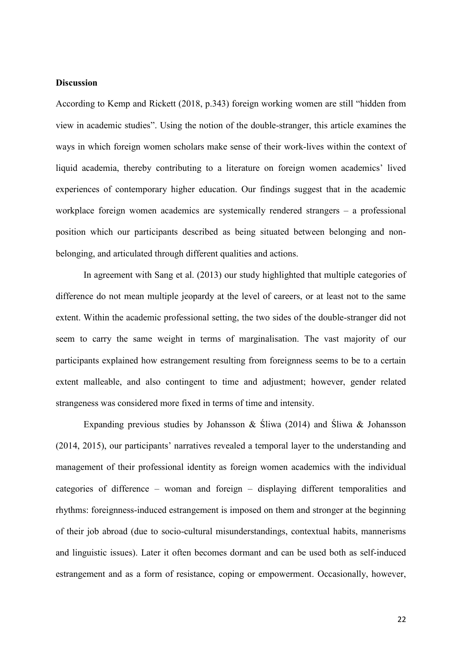### **Discussion**

According to Kemp and Rickett (2018, p.343) foreign working women are still "hidden from view in academic studies". Using the notion of the double-stranger, this article examines the ways in which foreign women scholars make sense of their work-lives within the context of liquid academia, thereby contributing to a literature on foreign women academics' lived experiences of contemporary higher education. Our findings suggest that in the academic workplace foreign women academics are systemically rendered strangers – a professional position which our participants described as being situated between belonging and nonbelonging, and articulated through different qualities and actions.

In agreement with Sang et al. (2013) our study highlighted that multiple categories of difference do not mean multiple jeopardy at the level of careers, or at least not to the same extent. Within the academic professional setting, the two sides of the double-stranger did not seem to carry the same weight in terms of marginalisation. The vast majority of our participants explained how estrangement resulting from foreignness seems to be to a certain extent malleable, and also contingent to time and adjustment; however, gender related strangeness was considered more fixed in terms of time and intensity.

Expanding previous studies by Johansson & Śliwa (2014) and Śliwa & Johansson (2014, 2015), our participants' narratives revealed a temporal layer to the understanding and management of their professional identity as foreign women academics with the individual categories of difference – woman and foreign – displaying different temporalities and rhythms: foreignness-induced estrangement is imposed on them and stronger at the beginning of their job abroad (due to socio-cultural misunderstandings, contextual habits, mannerisms and linguistic issues). Later it often becomes dormant and can be used both as self-induced estrangement and as a form of resistance, coping or empowerment. Occasionally, however,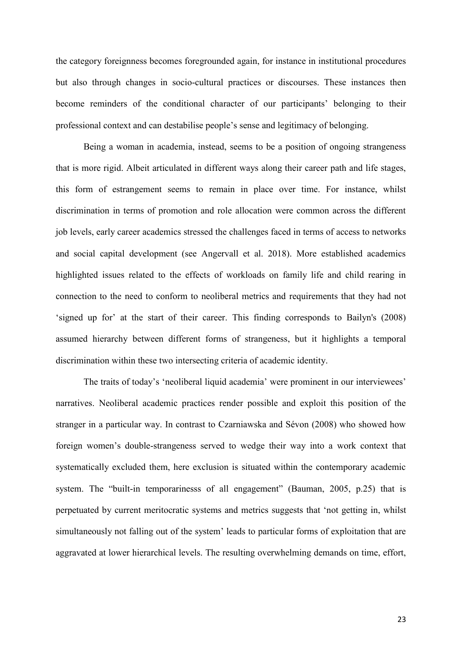the category foreignness becomes foregrounded again, for instance in institutional procedures but also through changes in socio-cultural practices or discourses. These instances then become reminders of the conditional character of our participants' belonging to their professional context and can destabilise people's sense and legitimacy of belonging.

Being a woman in academia, instead, seems to be a position of ongoing strangeness that is more rigid. Albeit articulated in different ways along their career path and life stages, this form of estrangement seems to remain in place over time. For instance, whilst discrimination in terms of promotion and role allocation were common across the different job levels, early career academics stressed the challenges faced in terms of access to networks and social capital development (see Angervall et al. 2018). More established academics highlighted issues related to the effects of workloads on family life and child rearing in connection to the need to conform to neoliberal metrics and requirements that they had not 'signed up for' at the start of their career. This finding corresponds to Bailyn's (2008) assumed hierarchy between different forms of strangeness, but it highlights a temporal discrimination within these two intersecting criteria of academic identity.

The traits of today's 'neoliberal liquid academia' were prominent in our interviewees' narratives. Neoliberal academic practices render possible and exploit this position of the stranger in a particular way. In contrast to Czarniawska and Sévon (2008) who showed how foreign women's double-strangeness served to wedge their way into a work context that systematically excluded them, here exclusion is situated within the contemporary academic system. The "built-in temporarinesss of all engagement" (Bauman, 2005, p.25) that is perpetuated by current meritocratic systems and metrics suggests that 'not getting in, whilst simultaneously not falling out of the system' leads to particular forms of exploitation that are aggravated at lower hierarchical levels. The resulting overwhelming demands on time, effort,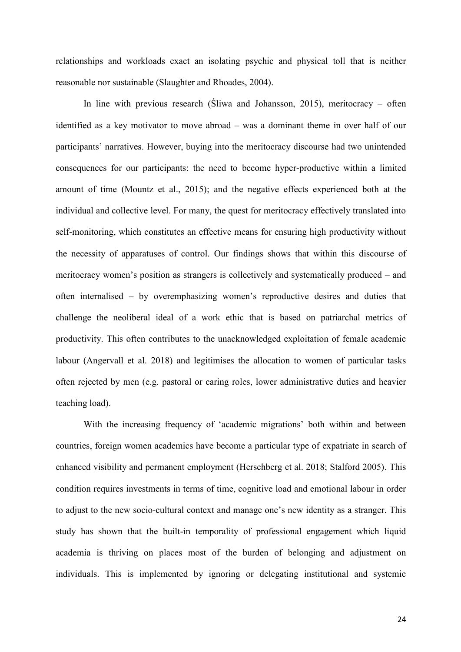relationships and workloads exact an isolating psychic and physical toll that is neither reasonable nor sustainable (Slaughter and Rhoades, 2004).

In line with previous research (Śliwa and Johansson, 2015), meritocracy – often identified as a key motivator to move abroad – was a dominant theme in over half of our participants' narratives. However, buying into the meritocracy discourse had two unintended consequences for our participants: the need to become hyper-productive within a limited amount of time (Mountz et al., 2015); and the negative effects experienced both at the individual and collective level. For many, the quest for meritocracy effectively translated into self-monitoring, which constitutes an effective means for ensuring high productivity without the necessity of apparatuses of control. Our findings shows that within this discourse of meritocracy women's position as strangers is collectively and systematically produced – and often internalised – by overemphasizing women's reproductive desires and duties that challenge the neoliberal ideal of a work ethic that is based on patriarchal metrics of productivity. This often contributes to the unacknowledged exploitation of female academic labour (Angervall et al. 2018) and legitimises the allocation to women of particular tasks often rejected by men (e.g. pastoral or caring roles, lower administrative duties and heavier teaching load).

With the increasing frequency of 'academic migrations' both within and between countries, foreign women academics have become a particular type of expatriate in search of enhanced visibility and permanent employment (Herschberg et al. 2018; Stalford 2005). This condition requires investments in terms of time, cognitive load and emotional labour in order to adjust to the new socio-cultural context and manage one's new identity as a stranger. This study has shown that the built-in temporality of professional engagement which liquid academia is thriving on places most of the burden of belonging and adjustment on individuals. This is implemented by ignoring or delegating institutional and systemic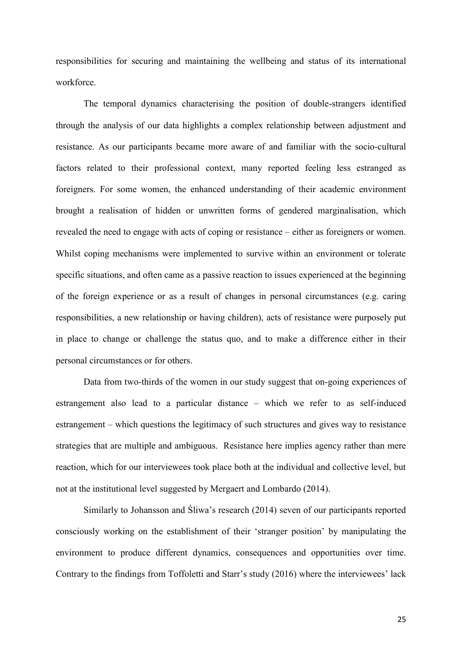responsibilities for securing and maintaining the wellbeing and status of its international workforce.

The temporal dynamics characterising the position of double-strangers identified through the analysis of our data highlights a complex relationship between adjustment and resistance. As our participants became more aware of and familiar with the socio-cultural factors related to their professional context, many reported feeling less estranged as foreigners. For some women, the enhanced understanding of their academic environment brought a realisation of hidden or unwritten forms of gendered marginalisation, which revealed the need to engage with acts of coping or resistance – either as foreigners or women. Whilst coping mechanisms were implemented to survive within an environment or tolerate specific situations, and often came as a passive reaction to issues experienced at the beginning of the foreign experience or as a result of changes in personal circumstances (e.g. caring responsibilities, a new relationship or having children), acts of resistance were purposely put in place to change or challenge the status quo, and to make a difference either in their personal circumstances or for others.

Data from two-thirds of the women in our study suggest that on-going experiences of estrangement also lead to a particular distance – which we refer to as self-induced estrangement – which questions the legitimacy of such structures and gives way to resistance strategies that are multiple and ambiguous. Resistance here implies agency rather than mere reaction, which for our interviewees took place both at the individual and collective level, but not at the institutional level suggested by Mergaert and Lombardo (2014).

Similarly to Johansson and Śliwa's research (2014) seven of our participants reported consciously working on the establishment of their 'stranger position' by manipulating the environment to produce different dynamics, consequences and opportunities over time. Contrary to the findings from Toffoletti and Starr's study (2016) where the interviewees' lack

25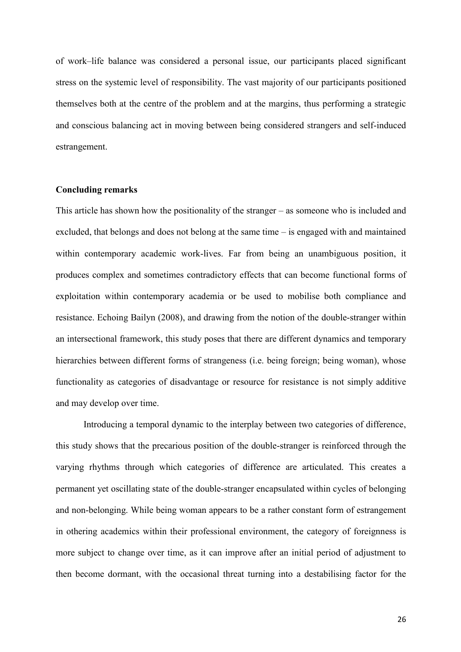of work–life balance was considered a personal issue, our participants placed significant stress on the systemic level of responsibility. The vast majority of our participants positioned themselves both at the centre of the problem and at the margins, thus performing a strategic and conscious balancing act in moving between being considered strangers and self-induced estrangement.

### **Concluding remarks**

This article has shown how the positionality of the stranger – as someone who is included and excluded, that belongs and does not belong at the same time – is engaged with and maintained within contemporary academic work-lives. Far from being an unambiguous position, it produces complex and sometimes contradictory effects that can become functional forms of exploitation within contemporary academia or be used to mobilise both compliance and resistance. Echoing Bailyn (2008), and drawing from the notion of the double-stranger within an intersectional framework, this study poses that there are different dynamics and temporary hierarchies between different forms of strangeness (i.e. being foreign; being woman), whose functionality as categories of disadvantage or resource for resistance is not simply additive and may develop over time.

Introducing a temporal dynamic to the interplay between two categories of difference, this study shows that the precarious position of the double-stranger is reinforced through the varying rhythms through which categories of difference are articulated. This creates a permanent yet oscillating state of the double-stranger encapsulated within cycles of belonging and non-belonging. While being woman appears to be a rather constant form of estrangement in othering academics within their professional environment, the category of foreignness is more subject to change over time, as it can improve after an initial period of adjustment to then become dormant, with the occasional threat turning into a destabilising factor for the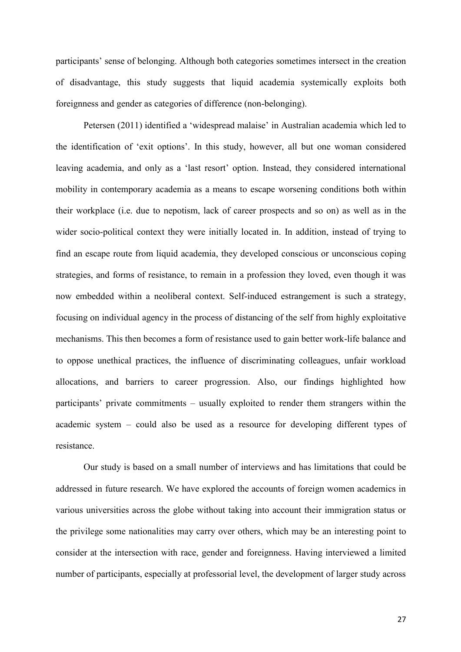participants' sense of belonging. Although both categories sometimes intersect in the creation of disadvantage, this study suggests that liquid academia systemically exploits both foreignness and gender as categories of difference (non-belonging).

Petersen (2011) identified a 'widespread malaise' in Australian academia which led to the identification of 'exit options'. In this study, however, all but one woman considered leaving academia, and only as a 'last resort' option. Instead, they considered international mobility in contemporary academia as a means to escape worsening conditions both within their workplace (i.e. due to nepotism, lack of career prospects and so on) as well as in the wider socio-political context they were initially located in. In addition, instead of trying to find an escape route from liquid academia, they developed conscious or unconscious coping strategies, and forms of resistance, to remain in a profession they loved, even though it was now embedded within a neoliberal context. Self-induced estrangement is such a strategy, focusing on individual agency in the process of distancing of the self from highly exploitative mechanisms. This then becomes a form of resistance used to gain better work-life balance and to oppose unethical practices, the influence of discriminating colleagues, unfair workload allocations, and barriers to career progression. Also, our findings highlighted how participants' private commitments – usually exploited to render them strangers within the academic system – could also be used as a resource for developing different types of resistance.

Our study is based on a small number of interviews and has limitations that could be addressed in future research. We have explored the accounts of foreign women academics in various universities across the globe without taking into account their immigration status or the privilege some nationalities may carry over others, which may be an interesting point to consider at the intersection with race, gender and foreignness. Having interviewed a limited number of participants, especially at professorial level, the development of larger study across

27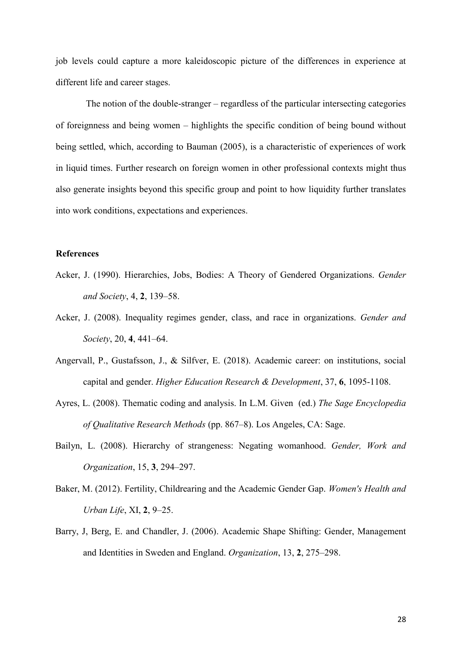job levels could capture a more kaleidoscopic picture of the differences in experience at different life and career stages.

The notion of the double-stranger – regardless of the particular intersecting categories of foreignness and being women – highlights the specific condition of being bound without being settled, which, according to Bauman (2005), is a characteristic of experiences of work in liquid times. Further research on foreign women in other professional contexts might thus also generate insights beyond this specific group and point to how liquidity further translates into work conditions, expectations and experiences.

# **References**

- Acker, J. (1990). Hierarchies, Jobs, Bodies: A Theory of Gendered Organizations. *Gender and Society*, 4, **2**, 139–58.
- Acker, J. (2008). Inequality regimes gender, class, and race in organizations. *Gender and Society*, 20, **4**, 441–64.
- Angervall, P., Gustafsson, J., & Silfver, E. (2018). Academic career: on institutions, social capital and gender. *Higher Education Research & Development*, 37, **6**, 1095-1108.
- Ayres, L. (2008). Thematic coding and analysis. In L.M. Given (ed.) *The Sage Encyclopedia of Qualitative Research Methods* (pp. 867–8). Los Angeles, CA: Sage.
- Bailyn, L. (2008). Hierarchy of strangeness: Negating womanhood. *Gender, Work and Organization*, 15, **3**, 294–297.
- Baker, M. (2012). Fertility, Childrearing and the Academic Gender Gap. *Women's Health and Urban Life*, XI, **2**, 9–25.
- Barry, J, Berg, E. and Chandler, J. (2006). Academic Shape Shifting: Gender, Management and Identities in Sweden and England. *Organization*, 13, **2**, 275–298.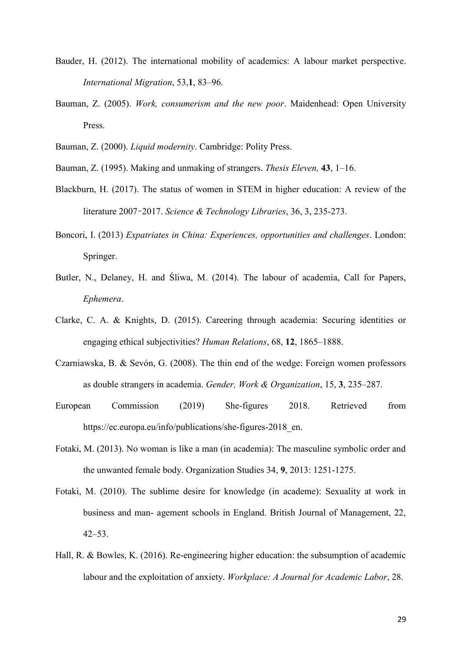- Bauder, H. (2012). The international mobility of academics: A labour market perspective. *International Migration*, 53,**1**, 83–96.
- Bauman, Z. (2005). *Work, consumerism and the new poor*. Maidenhead: Open University Press.
- Bauman, Z. (2000). *Liquid modernity*. Cambridge: Polity Press.
- Bauman, Z. (1995). Making and unmaking of strangers. *Thesis Eleven,* **43**, 1–16.
- Blackburn, H. (2017). The status of women in STEM in higher education: A review of the literature 2007–2017. *Science & Technology Libraries*, 36, 3, 235-273.
- Boncori, I. (2013) *Expatriates in China: Experiences, opportunities and challenges*. London: Springer.
- Butler, N., Delaney, H. and Śliwa, M. (2014). The labour of academia, Call for Papers, *Ephemera*.
- Clarke, C. A. & Knights, D. (2015). Careering through academia: Securing identities or engaging ethical subjectivities? *Human Relations*, 68, **12**, 1865–1888.
- Czarniawska, B. & Sevón, G. (2008). The thin end of the wedge: Foreign women professors as double strangers in academia. *Gender, Work & Organization*, 15, **3**, 235–287.
- European Commission (2019) She-figures 2018. Retrieved from https://ec.europa.eu/info/publications/she-figures-2018 en.
- Fotaki, M. (2013). No woman is like a man (in academia): The masculine symbolic order and the unwanted female body. Organization Studies 34, **9**, 2013: 1251-1275.
- Fotaki, M. (2010). The sublime desire for knowledge (in academe): Sexuality at work in business and man- agement schools in England. British Journal of Management, 22, 42–53.
- Hall, R. & Bowles, K. (2016). Re-engineering higher education: the subsumption of academic labour and the exploitation of anxiety. *Workplace: A Journal for Academic Labor*, 28.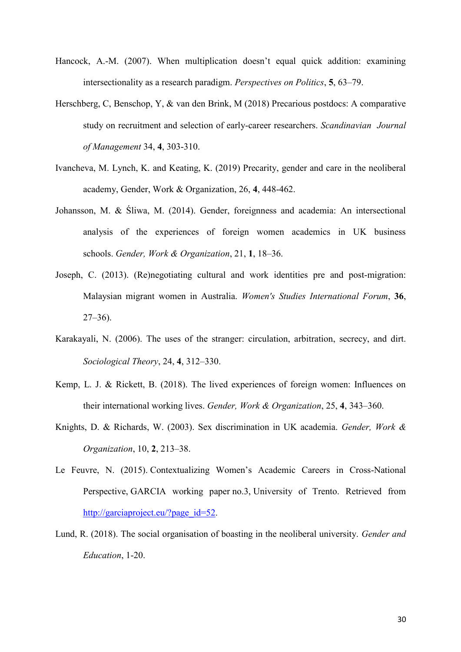- Hancock, A.-M. (2007). When multiplication doesn't equal quick addition: examining intersectionality as a research paradigm. *Perspectives on Politics*, **5**, 63–79.
- Herschberg, C, Benschop, Y, & van den Brink, M (2018) Precarious postdocs: A comparative study on recruitment and selection of early-career researchers. *Scandinavian Journal of Management* 34, **4**, 303-310.
- Ivancheva, M. Lynch, K. and Keating, K. (2019) Precarity, gender and care in the neoliberal academy, Gender, Work & Organization, 26, **4**, 448-462.
- Johansson, M. & Śliwa, M. (2014). Gender, foreignness and academia: An intersectional analysis of the experiences of foreign women academics in UK business schools. *Gender, Work & Organization*, 21, **1**, 18–36.
- Joseph, C. (2013). (Re)negotiating cultural and work identities pre and post-migration: Malaysian migrant women in Australia. *Women's Studies International Forum*, **36**, 27–36).
- Karakayali, N. (2006). The uses of the stranger: circulation, arbitration, secrecy, and dirt. *Sociological Theory*, 24, **4**, 312–330.
- Kemp, L. J. & Rickett, B. (2018). The lived experiences of foreign women: Influences on their international working lives. *Gender, Work & Organization*, 25, **4**, 343–360.
- Knights, D. & Richards, W. (2003). Sex discrimination in UK academia. *Gender, Work & Organization*, 10, **2**, 213–38.
- Le Feuvre, N. (2015). [Contextualizing Women's Academic Careers in Cross](http://garciaproject.eu/wp-content/uploads/2015/10/GARCIA_report_wp3.pdf)-National [Perspective,](http://garciaproject.eu/wp-content/uploads/2015/10/GARCIA_report_wp3.pdf) GARCIA working paper no.3, University of Trento. Retrieved from [http://garciaproject.eu/?page\\_id=52.](http://garciaproject.eu/?page_id=52)
- Lund, R. (2018). The social organisation of boasting in the neoliberal university. *Gender and Education*, 1-20.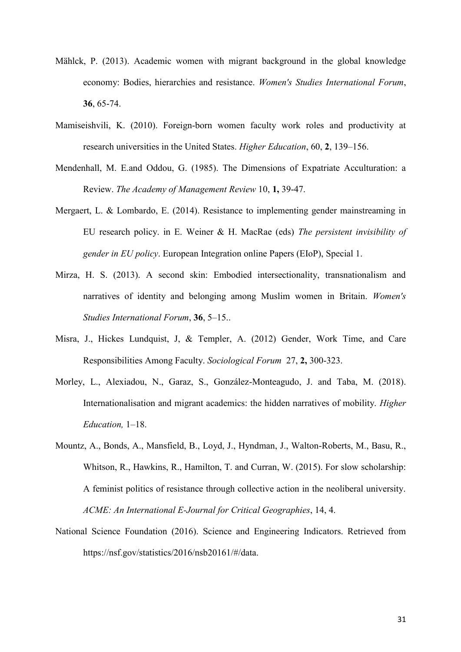- Mählck, P. (2013). Academic women with migrant background in the global knowledge economy: Bodies, hierarchies and resistance. *Women's Studies International Forum*, **36**, 65-74.
- Mamiseishvili, K. (2010). Foreign-born women faculty work roles and productivity at research universities in the United States. *Higher Education*, 60, **2**, 139–156.
- Mendenhall, M. E.and Oddou, G. (1985). The Dimensions of Expatriate Acculturation: a Review. *The Academy of Management Review* 10, **1,** 39-47.
- Mergaert, L. & Lombardo, E. (2014). Resistance to implementing gender mainstreaming in EU research policy. in E. Weiner & H. MacRae (eds) *The persistent invisibility of gender in EU policy*. European Integration online Papers (EIoP), Special 1.
- Mirza, H. S. (2013). A second skin: Embodied intersectionality, transnationalism and narratives of identity and belonging among Muslim women in Britain. *Women's Studies International Forum*, **36**, 5–15..
- Misra, J., Hickes Lundquist, J, & Templer, A. (2012) Gender, Work Time, and Care Responsibilities Among Faculty. *Sociological Forum* 27, **2,** 300-323.
- Morley, L., Alexiadou, N., Garaz, S., González-Monteagudo, J. and Taba, M. (2018). Internationalisation and migrant academics: the hidden narratives of mobility. *Higher Education,* 1–18.
- Mountz, A., Bonds, A., Mansfield, B., Loyd, J., Hyndman, J., Walton-Roberts, M., Basu, R., Whitson, R., Hawkins, R., Hamilton, T. and Curran, W. (2015). For slow scholarship: A feminist politics of resistance through collective action in the neoliberal university. *ACME: An International E-Journal for Critical Geographies*, 14, 4.
- National Science Foundation (2016). Science and Engineering Indicators. Retrieved from https://nsf.gov/statistics/2016/nsb20161/#/data.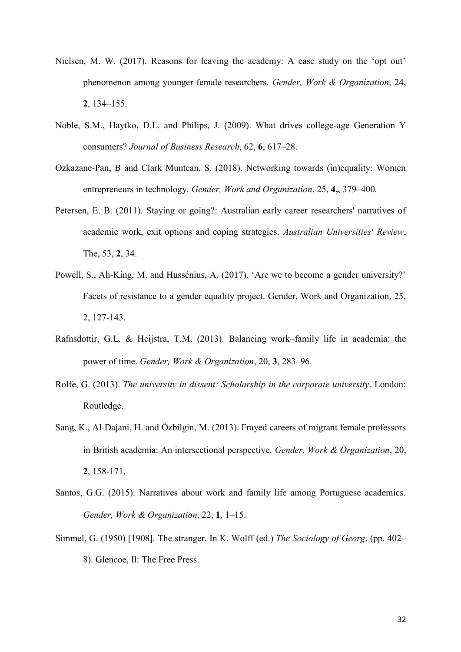- Nielsen, M. W. (2017). Reasons for leaving the academy: A case study on the 'opt out' phenomenon among younger female researchers. *Gender, Work & Organization*, 24, **2**, 134–155.
- Noble, S.M., Haytko, D.L. and Philips, J. (2009). What drives college-age Generation Y consumers? *Journal of Business Research*, 62, **6**, 617–28.
- Ozkazanc-Pan, B and Clark Muntean, S. (2018). Networking towards (in)equality: Women entrepreneurs in technology. *Gender, Work and Organization*, 25, **4,**, 379–400*.*
- Petersen, E. B. (2011). Staying or going?: Australian early career researchers' narratives of academic work, exit options and coping strategies. *Australian Universities' Review*, The, 53, **2**, 34.
- Powell, S., Ah-King, M. and Hussénius, A. (2017). 'Are we to become a gender university?' Facets of resistance to a gender equality project. Gender, Work and Organization, 25, 2, 127-143.
- Rafnsdottir, G.L. & Heijstra, T.M. (2013). Balancing work–family life in academia: the power of time. *Gender, Work & Organization*, 20, **3**, 283–96.
- Rolfe, G. (2013). *The university in dissent: Scholarship in the corporate university*. London: Routledge.
- Sang, K., Al‐Dajani, H. and Özbilgin, M. (2013). Frayed careers of migrant female professors in British academia: An intersectional perspective. *Gender, Work & Organization*, 20, **2**, 158-171.
- Santos, G.G. (2015). Narratives about work and family life among Portuguese academics. *Gender, Work & Organization*, 22, **1**, 1–15.
- Simmel, G. (1950) [1908]. The stranger. In K. Wolff (ed.) *The Sociology of Georg*, (pp. 402– 8). Glencoe, Il: The Free Press.